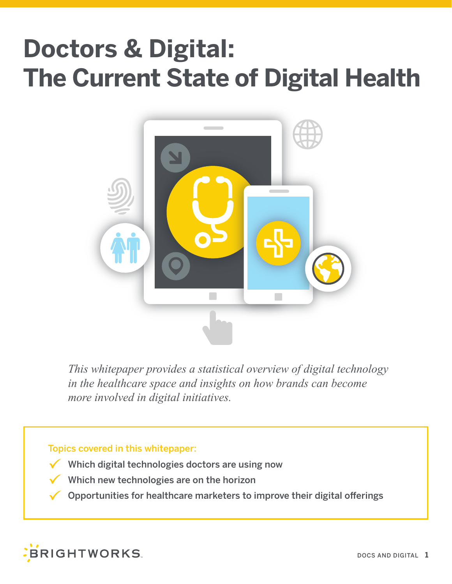## **Doctors & Digital: The Current State of Digital Health**



*This whitepaper provides a statistical overview of digital technology in the healthcare space and insights on how brands can become more involved in digital initiatives.* 

#### Topics covered in this whitepaper:

- Which digital technologies doctors are using now
- Which new technologies are on the horizon
- Opportunities for healthcare marketers to improve their digital offerings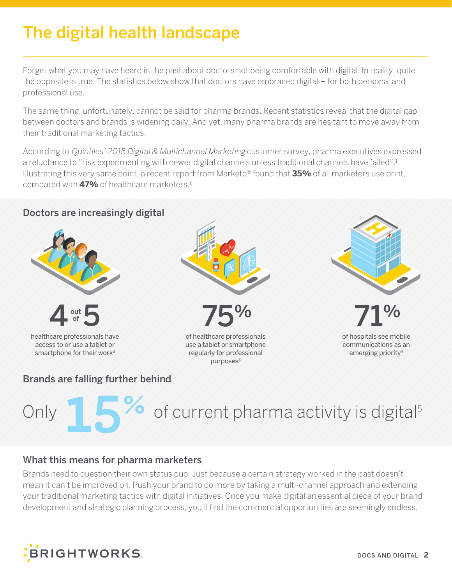### The digital health landscape

Forget what you may have heard in the past about doctors not being comfortable with digital. In reality, quite the opposite is true. The statistics below show that doctors have embraced digital – for both personal and professional use.

The same thing, unfortunately, cannot be said for pharma brands. Recent statistics reveal that the digital gap between doctors and brands is widening daily. And yet, many pharma brands are hesitant to move away from their traditional marketing tactics.

According to Quintiles' 2015 Digital & Multichannel Marketing customer survey, pharma executives expressed a reluctance to "risk experimenting with newer digital channels unless traditional channels have failed".1 Illustrating this very same point, a recent report from Marketo® found that **35%** of all marketers use print, compared with **47%** of healthcare marketers.2



### Brands are falling further behind

# Only **15%** of current pharma activity is digital<sup>5</sup>

### What this means for pharma marketers

Brands need to question their own status quo. Just because a certain strategy worked in the past doesn't mean it can't be improved on. Push your brand to do more by taking a multi-channel approach and extending your traditional marketing tactics with digital initiatives. Once you make digital an essential piece of your brand development and strategic planning process, you'll find the commercial opportunities are seemingly endless.

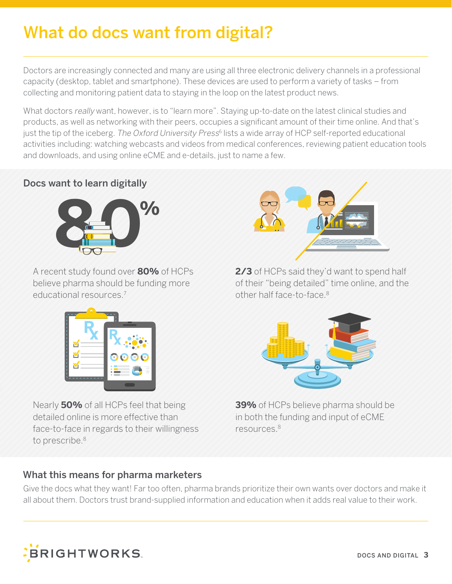### What do docs want from digital?

Doctors are increasingly connected and many are using all three electronic delivery channels in a professional capacity (desktop, tablet and smartphone). These devices are used to perform a variety of tasks – from collecting and monitoring patient data to staying in the loop on the latest product news.

What doctors really want, however, is to "learn more". Staying up-to-date on the latest clinical studies and products, as well as networking with their peers, occupies a significant amount of their time online. And that's just the tip of the iceberg. The Oxford University Press<sup>6</sup> lists a wide array of HCP self-reported educational activities including: watching webcasts and videos from medical conferences, reviewing patient education tools and downloads, and using online eCME and e-details, just to name a few.

### Docs want to learn digitally



A recent study found over **80%** of HCPs believe pharma should be funding more educational resources.7



Nearly **50%** of all HCPs feel that being detailed online is more effective than face-to-face in regards to their willingness to prescribe.<sup>8</sup>

### What this means for pharma marketers



**2/3** of HCPs said they'd want to spend half of their "being detailed" time online, and the other half face-to-face.8



**39%** of HCPs believe pharma should be in both the funding and input of eCME resources.8

Give the docs what they want! Far too often, pharma brands prioritize their own wants over doctors and make it all about them. Doctors trust brand-supplied information and education when it adds real value to their work.

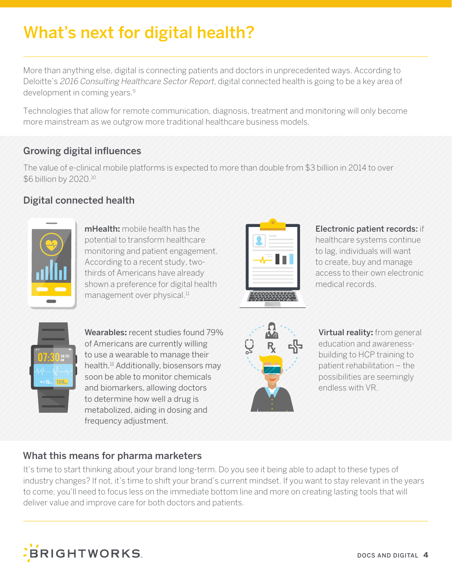### What's next for digital health?

More than anything else, digital is connecting patients and doctors in unprecedented ways. According to Deloitte's 2016 Consulting Healthcare Sector Report, digital connected health is going to be a key area of development in coming years.9

Technologies that allow for remote communication, diagnosis, treatment and monitoring will only become more mainstream as we outgrow more traditional healthcare business models.

### Growing digital influences

The value of e-clinical mobile platforms is expected to more than double from \$3 billion in 2014 to over \$6 billion by 2020.10

### Digital connected health



mHealth**:** mobile health has the potential to transform healthcare monitoring and patient engagement. According to a recent study, twothirds of Americans have already shown a preference for digital health management over physical.<sup>11</sup>



#### Electronic patient records: if

healthcare systems continue to lag, individuals will want to create, buy and manage access to their own electronic medical records.



Wearables**:** recent studies found 79% of Americans are currently willing to use a wearable to manage their health.11 Additionally, biosensors may soon be able to monitor chemicals and biomarkers, allowing doctors to determine how well a drug is metabolized, aiding in dosing and frequency adjustment.



Virtual reality**:** from general education and awarenessbuilding to HCP training to patient rehabilitation – the possibilities are seemingly endless with VR.

#### What this means for pharma marketers

It's time to start thinking about your brand long-term. Do you see it being able to adapt to these types of industry changes? If not, it's time to shift your brand's current mindset. If you want to stay relevant in the years to come, you'll need to focus less on the immediate bottom line and more on creating lasting tools that will deliver value and improve care for both doctors and patients.